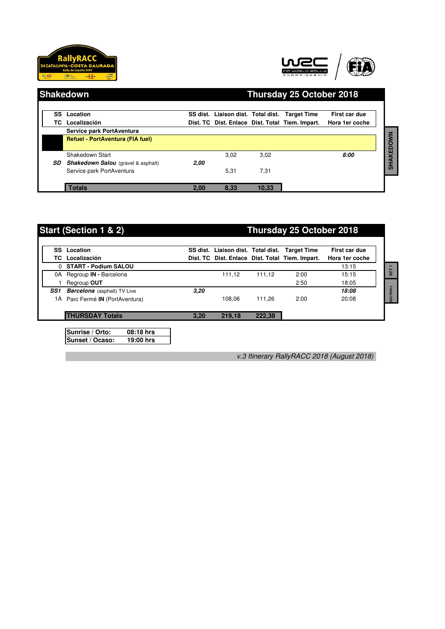





| <b>Shakedown</b> |                                           | Thursday 25 October 2018 |                                                |       |                                                 |                                 |
|------------------|-------------------------------------------|--------------------------|------------------------------------------------|-------|-------------------------------------------------|---------------------------------|
| TC.              | <b>SS</b> Location<br>Localización        |                          | SS dist. Liaison dist. Total dist. Target Time |       | Dist. TC Dist. Enlace Dist. Total Tiem. Impart. | First car due<br>Hora 1er coche |
|                  | Service park PortAventura                 |                          |                                                |       |                                                 |                                 |
|                  | <b>Refuel - PortAventura (FIA fuel)</b>   |                          |                                                |       |                                                 |                                 |
|                  | Shakedown Start                           |                          | 3,02                                           | 3,02  |                                                 | 8:00                            |
| SD.              | <b>Shakedown Salou</b> (gravel & asphalt) | 2.00                     |                                                |       |                                                 |                                 |
|                  | Service park PortAventura                 |                          | 5,31                                           | 7,31  |                                                 |                                 |
|                  | <b>Totals</b>                             | 2,00                     | 8,33                                           | 10,33 |                                                 |                                 |

## **Start (Section 1 & 2) Thursday 25 October 2018**

|     | <b>SS</b> Location                 |      | SS dist. Liaison dist. Total dist. Target Time |        |                                                 | First car due  |
|-----|------------------------------------|------|------------------------------------------------|--------|-------------------------------------------------|----------------|
|     | <b>TC</b> Localización             |      |                                                |        | Dist. TC Dist. Enlace Dist. Total Tiem. Impart. | Hora 1er coche |
|     | 0 START - Podium SALOU             |      |                                                |        |                                                 | 13:15          |
| 0A  | Regroup <b>IN</b> - Barcelona      |      | 111,12                                         | 111,12 | 2:00                                            | 15:15          |
|     | Regroup OUT                        |      |                                                |        | 2:50                                            | 18:05          |
| SS1 | <b>Barcelona</b> (asphalt) TV Live | 3,20 |                                                |        |                                                 | 18:08          |
|     | 1A Parc Fermé IN (PortAventura)    |      | 108.06                                         | 111.26 | 2:00                                            | 20:08          |
|     | <b>THURSDAY Totals</b>             | 3.20 | 219,18                                         | 222,38 |                                                 |                |

**Sunset / Ocaso: 19:00 hrs**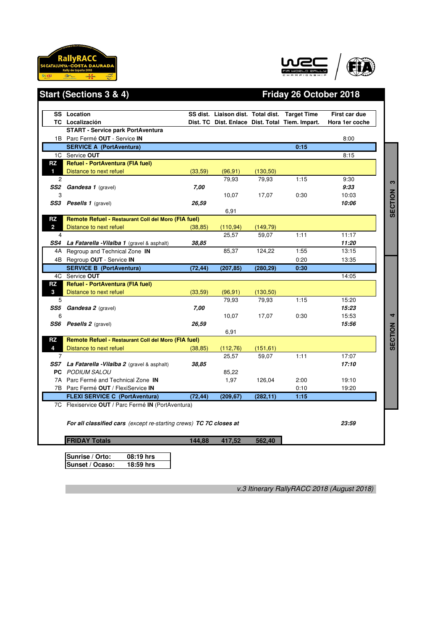





# **Start (Sections 3 & 4) Friday 26 October 2018**

|                | <b>SS</b> Location                                                         |          |           |           | SS dist. Liaison dist. Total dist. Target Time  | First car due  |
|----------------|----------------------------------------------------------------------------|----------|-----------|-----------|-------------------------------------------------|----------------|
|                | <b>TC</b> Localización                                                     |          |           |           | Dist. TC Dist. Enlace Dist. Total Tiem. Impart. | Hora 1er coche |
|                | <b>START - Service park PortAventura</b>                                   |          |           |           |                                                 |                |
|                | 1B Parc Fermé OUT - Service IN                                             |          |           |           |                                                 | 8:00           |
|                | <b>SERVICE A (PortAventura)</b>                                            |          |           |           | 0:15                                            |                |
|                | 1C Service OUT                                                             |          |           |           |                                                 | 8:15           |
| RZ             | Refuel - PortAventura (FIA fuel)                                           |          |           |           |                                                 |                |
| 1              | Distance to next refuel                                                    | (33,59)  | (96, 91)  | (130, 50) |                                                 |                |
| 2              |                                                                            |          | 79,93     | 79,93     | 1:15                                            | 9:30           |
|                | SS2 Gandesa 1 (gravel)                                                     | 7,00     |           |           |                                                 | 9:33           |
| 3              |                                                                            |          | 10,07     | 17,07     | 0:30                                            | 10:03          |
|                | <b>SS3</b> Pesells 1 (gravel)                                              | 26,59    |           |           |                                                 | 10:06          |
|                |                                                                            |          | 6,91      |           |                                                 |                |
| RZ             | Remote Refuel - Restaurant Coll del Moro (FIA fuel)                        |          |           |           |                                                 |                |
| $\overline{2}$ | Distance to next refuel                                                    | (38, 85) | (110, 94) | (149, 79) |                                                 |                |
| 4              |                                                                            |          | 25,57     | 59,07     | 1:11                                            | 11:17          |
|                | <b>SS4</b> La Fatarella - Vilalba 1 (gravel & asphalt)                     | 38.85    |           |           |                                                 | 11:20          |
|                | 4A Regroup and Technical Zone IN                                           |          | 85,37     | 124,22    | 1:55                                            | 13:15          |
|                | 4B Regroup OUT - Service IN                                                |          |           |           | 0:20                                            | 13:35          |
|                | <b>SERVICE B (PortAventura)</b>                                            | (72, 44) | (207, 85) | (280, 29) | 0:30                                            |                |
|                | 4C Service OUT                                                             |          |           |           |                                                 | 14:05          |
| RZ             | Refuel - PortAventura (FIA fuel)                                           |          |           |           |                                                 |                |
| 3              | Distance to next refuel                                                    | (33,59)  | (96, 91)  | (130, 50) |                                                 |                |
| 5              |                                                                            |          | 79,93     | 79,93     | 1:15                                            | 15:20          |
|                | SS5 Gandesa 2 (gravel)                                                     | 7,00     |           |           |                                                 | 15:23          |
| 6              |                                                                            |          | 10,07     | 17,07     | 0:30                                            | 15:53          |
|                | <b>SS6</b> Pesells 2 (gravel)                                              | 26,59    |           |           |                                                 | 15:56          |
|                |                                                                            |          | 6,91      |           |                                                 |                |
| RZ             | Remote Refuel - Restaurant Coll del Moro (FIA fuel)                        |          |           |           |                                                 |                |
| 4              | Distance to next refuel                                                    | (38, 85) | (112, 76) | (151, 61) |                                                 |                |
| 7              |                                                                            |          | 25,57     | 59.07     | 1:11                                            | 17:07          |
|                | <b>SS7</b> La Fatarella - Vilalba 2 (gravel & asphalt)                     | 38,85    |           |           |                                                 | 17:10          |
|                | <b>PC</b> PODIUM SALOU                                                     |          | 85,22     |           |                                                 |                |
|                | 7A Parc Fermé and Technical Zone IN                                        |          | 1,97      | 126,04    | 2:00                                            | 19:10          |
|                | 7B Parc Fermé OUT / FlexiService IN                                        |          |           |           | 0:10                                            | 19:20          |
|                | <b>FLEXI SERVICE C (PortAventura)</b>                                      | (72, 44) | (209, 67) | (282, 11) | 1:15                                            |                |
|                | 7C Flexiservice OUT / Parc Fermé IN (PortAventura)                         |          |           |           |                                                 |                |
|                | For all classified cars (except re-starting crews) TC 7C closes at         |          |           |           |                                                 | 23:59          |
|                | <b>FRIDAY Totals</b>                                                       | 144,88   | 417,52    | 562,40    |                                                 |                |
|                | Sunrise / Orto:<br>$\overline{08}$ :19 hrs<br>Sunset / Ocaso:<br>18:59 hrs |          |           |           |                                                 |                |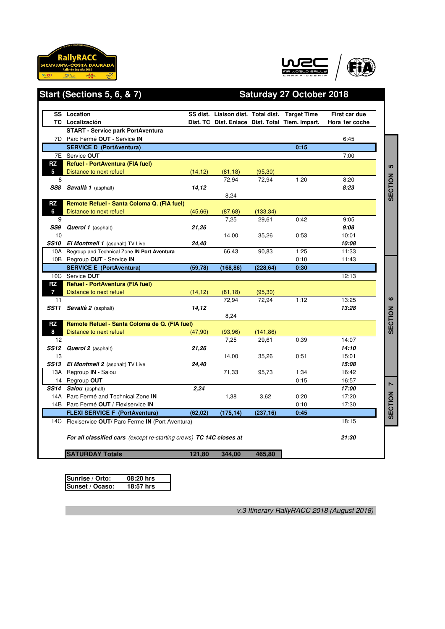



## Start (Sections 5, 6, & 7) Saturday 27 October 2018

|                | <b>SS</b> Location                                                    |          |           |           | SS dist. Liaison dist. Total dist. Target Time  | First car due  |                |
|----------------|-----------------------------------------------------------------------|----------|-----------|-----------|-------------------------------------------------|----------------|----------------|
|                | TC Localización                                                       |          |           |           | Dist. TC Dist. Enlace Dist. Total Tiem. Impart. | Hora 1er coche |                |
|                | <b>START - Service park PortAventura</b>                              |          |           |           |                                                 |                |                |
|                | 7D Parc Fermé OUT - Service IN                                        |          |           |           |                                                 | 6:45           |                |
|                | <b>SERVICE D (PortAventura)</b>                                       |          |           |           | 0:15                                            |                |                |
|                | 7E Service OUT                                                        |          |           |           |                                                 | 7:00           |                |
| RZ             | Refuel - PortAventura (FIA fuel)                                      |          |           |           |                                                 |                | <b>LO</b>      |
| 5 <sup>1</sup> | Distance to next refuel                                               | (14, 12) | (81, 18)  | (95, 30)  |                                                 |                |                |
| 8              |                                                                       |          | 72,94     | 72,94     | 1:20                                            | 8:20           |                |
|                | SS8 Savallà 1 (asphalt)                                               | 14,12    |           |           |                                                 | 8:23           |                |
|                |                                                                       |          | 8,24      |           |                                                 |                | <b>SECTION</b> |
| RZ             | Remote Refuel - Santa Coloma Q. (FIA fuel)                            |          |           |           |                                                 |                |                |
| 6              | Distance to next refuel                                               | (45, 66) | (87, 68)  | (133, 34) |                                                 |                |                |
| 9              |                                                                       |          | 7,25      | 29,61     | 0:42                                            | 9:05           |                |
|                | SS9 Querol 1 (asphalt)                                                | 21,26    |           |           |                                                 | 9:08           |                |
| 10             |                                                                       |          | 14,00     | 35,26     | 0:53                                            | 10:01          |                |
|                | <b>SS10 El Montmell 1</b> (asphalt) TV Live                           | 24,40    |           |           |                                                 | 10:08          |                |
|                | 10A Regroup and Technical Zone IN Port Aventura                       |          | 66,43     | 90,83     | 1:25                                            | 11:33          |                |
|                | 10B Regroup OUT - Service IN                                          |          |           |           | 0:10                                            | 11:43          |                |
|                | <b>SERVICE E (PortAventura)</b>                                       | (59, 78) | (168, 86) | (228, 64) | 0:30                                            |                |                |
|                | 10C Service OUT                                                       |          |           |           |                                                 | 12:13          |                |
| RZ             | <b>Refuel - PortAventura (FIA fuel)</b>                               |          |           |           |                                                 |                |                |
| $\overline{7}$ | Distance to next refuel                                               | (14, 12) | (81, 18)  | (95, 30)  |                                                 |                |                |
| 11             |                                                                       |          | 72,94     | 72,94     | 1:12                                            | 13:25          | ဖ              |
|                | <b>SS11 Savallà 2</b> (asphalt)                                       | 14,12    |           |           |                                                 | 13:28          |                |
|                |                                                                       |          | 8,24      |           |                                                 |                | <b>SECTION</b> |
| RZ             | Remote Refuel - Santa Coloma de Q. (FIA fuel)                         |          |           |           |                                                 |                |                |
| 8              | Distance to next refuel                                               | (47,90)  | (93, 96)  | (141, 86) |                                                 |                |                |
| 12             |                                                                       |          | 7.25      | 29.61     | 0:39                                            | 14:07          |                |
| 13             | <b>SS12 Querol 2</b> (asphalt)                                        | 21,26    |           |           | 0:51                                            | 14:10<br>15:01 |                |
|                |                                                                       | 24,40    | 14,00     | 35,26     |                                                 | 15:08          |                |
|                | <b>SS13</b> El Montmell 2 (asphalt) TV Live<br>13A Regroup IN - Salou |          | 71,33     | 95,73     | 1:34                                            | 16:42          |                |
|                | 14 Regroup OUT                                                        |          |           |           | 0:15                                            | 16:57          |                |
|                | <b>SS14 Salou</b> (asphalt)                                           | 2.24     |           |           |                                                 | 17:00          | Z              |
|                | 14A Parc Fermé and Technical Zone IN                                  |          | 1,38      | 3.62      | 0:20                                            | 17:20          |                |
|                | 14B Parc Fermé OUT / Flexiservice IN                                  |          |           |           | 0:10                                            | 17:30          | <b>SECTION</b> |
|                | <b>FLEXI SERVICE F (PortAventura)</b>                                 | (62, 02) |           |           | 0:45                                            |                |                |
|                |                                                                       |          | (175, 14) | (237, 16) |                                                 |                |                |
|                | 14C Flexiservice OUT/ Parc Ferme IN (Port Aventura)                   |          |           |           |                                                 | 18:15          |                |
|                | For all classified cars (except re-starting crews) TC 14C closes at   |          |           |           |                                                 | 21:30          |                |
|                |                                                                       |          |           |           |                                                 |                |                |

| Sunrise / Orto: | 08:20 hrs |
|-----------------|-----------|
| Sunset / Ocaso: | 18:57 hrs |